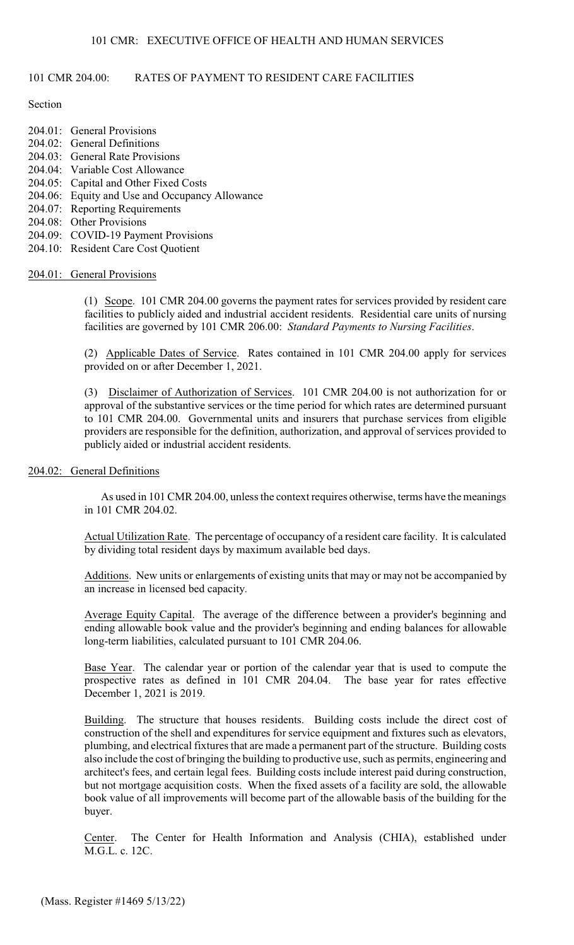# 101 CMR 204.00: RATES OF PAYMENT TO RESIDENT CARE FACILITIES

## Section

- $204.01$ : General Provisions
- 204.02: General Definitions
- 204.03: General Rate Provisions
- 204.04: Variable Cost Allowance
- 204.05: Capital and Other Fixed Costs
- 204.06: Equity and Use and Occupancy Allowance
- 204.07: Reporting Requirements
- 204.08: Other Provisions
- 204.09: COVID-19 Payment Provisions
- 204.10: Resident Care Cost Quotient

## 204.01: General Provisions

(1) Scope. 101 CMR 204.00 governs the payment rates for services provided by resident care facilities to publicly aided and industrial accident residents. Residential care units of nursing facilities are governed by 101 CMR 206.00: *Standard Payments to Nursing Facilities*.

(2) Applicable Dates of Service. Rates contained in 101 CMR 204.00 apply for services provided on or after December 1, 2021.

(3) Disclaimer of Authorization of Services. 101 CMR 204.00 is not authorization for or approval of the substantive services or the time period for which rates are determined pursuant to 101 CMR 204.00. Governmental units and insurers that purchase services from eligible providers are responsible for the definition, authorization, and approval of services provided to publicly aided or industrial accident residents.

## 204.02: General Definitions

As used in 101 CMR 204.00, unless the context requires otherwise, terms have the meanings in 101 CMR 204.02.

Actual Utilization Rate. The percentage of occupancy of a resident care facility. It is calculated by dividing total resident days by maximum available bed days.

Additions. New units or enlargements of existing units that may or may not be accompanied by an increase in licensed bed capacity.

Average Equity Capital. The average of the difference between a provider's beginning and ending allowable book value and the provider's beginning and ending balances for allowable long-term liabilities, calculated pursuant to 101 CMR 204.06.

Base Year. The calendar year or portion of the calendar year that is used to compute the prospective rates as defined in 101 CMR 204.04. The base year for rates effective December 1, 2021 is 2019.

Building. The structure that houses residents. Building costs include the direct cost of construction of the shell and expenditures for service equipment and fixtures such as elevators, plumbing, and electrical fixtures that are made a permanent part of the structure. Building costs also include the cost of bringing the building to productive use, such as permits, engineering and architect's fees, and certain legal fees. Building costs include interest paid during construction, but not mortgage acquisition costs. When the fixed assets of a facility are sold, the allowable book value of all improvements will become part of the allowable basis of the building for the buyer.

Center. The Center for Health Information and Analysis (CHIA), established under M.G.L. c. 12C.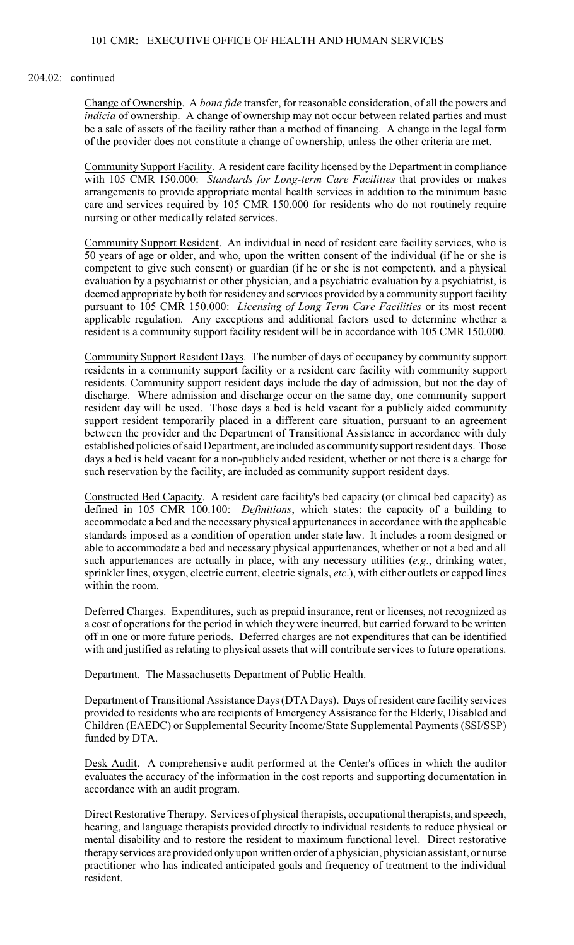### 204.02: continued

Change of Ownership. A *bona fide* transfer, for reasonable consideration, of all the powers and *indicia* of ownership. A change of ownership may not occur between related parties and must be a sale of assets of the facility rather than a method of financing. A change in the legal form of the provider does not constitute a change of ownership, unless the other criteria are met.

Community Support Facility. A resident care facility licensed by the Department in compliance with 105 CMR 150.000: *Standards for Long-term Care Facilities* that provides or makes arrangements to provide appropriate mental health services in addition to the minimum basic care and services required by 105 CMR 150.000 for residents who do not routinely require nursing or other medically related services.

Community Support Resident. An individual in need of resident care facility services, who is 50 years of age or older, and who, upon the written consent of the individual (if he or she is competent to give such consent) or guardian (if he or she is not competent), and a physical evaluation by a psychiatrist or other physician, and a psychiatric evaluation by a psychiatrist, is deemed appropriate by both for residency and services provided by a community support facility pursuant to 105 CMR 150.000: *Licensing of Long Term Care Facilities* or its most recent applicable regulation. Any exceptions and additional factors used to determine whether a resident is a community support facility resident will be in accordance with 105 CMR 150.000.

Community Support Resident Days. The number of days of occupancy by community support residents in a community support facility or a resident care facility with community support residents. Community support resident days include the day of admission, but not the day of discharge. Where admission and discharge occur on the same day, one community support resident day will be used. Those days a bed is held vacant for a publicly aided community support resident temporarily placed in a different care situation, pursuant to an agreement between the provider and the Department of Transitional Assistance in accordance with duly established policies of said Department, are included as community support resident days. Those days a bed is held vacant for a non-publicly aided resident, whether or not there is a charge for such reservation by the facility, are included as community support resident days.

Constructed Bed Capacity. A resident care facility's bed capacity (or clinical bed capacity) as defined in 105 CMR 100.100: *Definitions*, which states: the capacity of a building to accommodate a bed and the necessary physical appurtenances in accordance with the applicable standards imposed as a condition of operation under state law. It includes a room designed or able to accommodate a bed and necessary physical appurtenances, whether or not a bed and all such appurtenances are actually in place, with any necessary utilities (*e.g*., drinking water, sprinkler lines, oxygen, electric current, electric signals, *etc*.), with either outlets or capped lines within the room.

Deferred Charges. Expenditures, such as prepaid insurance, rent or licenses, not recognized as a cost of operations for the period in which they were incurred, but carried forward to be written off in one or more future periods. Deferred charges are not expenditures that can be identified with and justified as relating to physical assets that will contribute services to future operations.

Department. The Massachusetts Department of Public Health.

Department of Transitional Assistance Days (DTA Days). Days of resident care facility services provided to residents who are recipients of Emergency Assistance for the Elderly, Disabled and Children (EAEDC) or Supplemental Security Income/State Supplemental Payments (SSI/SSP) funded by DTA.

Desk Audit. A comprehensive audit performed at the Center's offices in which the auditor evaluates the accuracy of the information in the cost reports and supporting documentation in accordance with an audit program.

Direct Restorative Therapy. Services of physical therapists, occupational therapists, and speech, hearing, and language therapists provided directly to individual residents to reduce physical or mental disability and to restore the resident to maximum functional level. Direct restorative therapy services are provided onlyupon written order of a physician, physician assistant, or nurse practitioner who has indicated anticipated goals and frequency of treatment to the individual resident.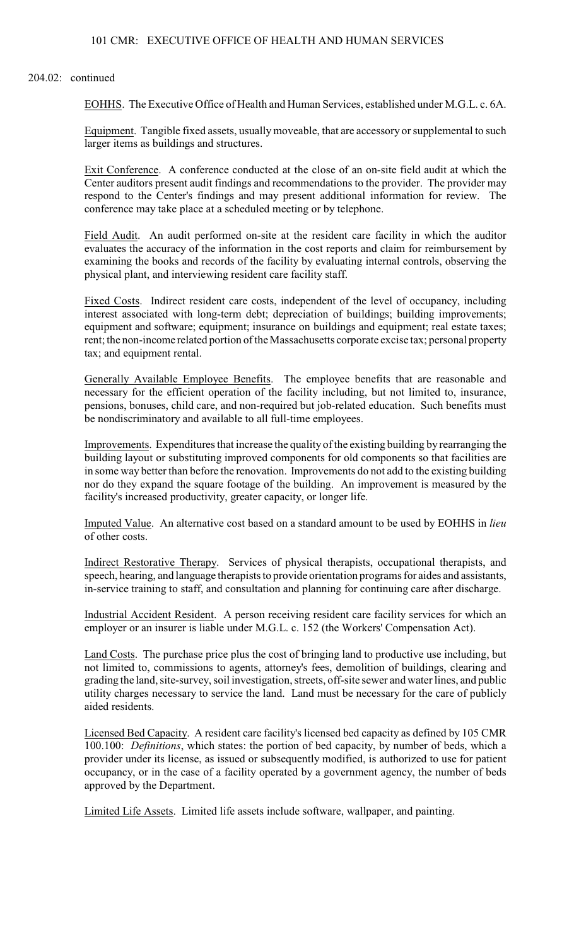### 204.02: continued

EOHHS. The Executive Office of Health and Human Services, established under M.G.L. c. 6A.

Equipment. Tangible fixed assets, usually moveable, that are accessory or supplemental to such larger items as buildings and structures.

Exit Conference. A conference conducted at the close of an on-site field audit at which the Center auditors present audit findings and recommendations to the provider. The provider may respond to the Center's findings and may present additional information for review. The conference may take place at a scheduled meeting or by telephone.

Field Audit. An audit performed on-site at the resident care facility in which the auditor evaluates the accuracy of the information in the cost reports and claim for reimbursement by examining the books and records of the facility by evaluating internal controls, observing the physical plant, and interviewing resident care facility staff.

Fixed Costs. Indirect resident care costs, independent of the level of occupancy, including interest associated with long-term debt; depreciation of buildings; building improvements; equipment and software; equipment; insurance on buildings and equipment; real estate taxes; rent; the non-income related portion of the Massachusetts corporate excise tax; personal property tax; and equipment rental.

Generally Available Employee Benefits. The employee benefits that are reasonable and necessary for the efficient operation of the facility including, but not limited to, insurance, pensions, bonuses, child care, and non-required but job-related education. Such benefits must be nondiscriminatory and available to all full-time employees.

Improvements. Expenditures that increase the quality of the existing building by rearranging the building layout or substituting improved components for old components so that facilities are in some way better than before the renovation. Improvements do not add to the existing building nor do they expand the square footage of the building. An improvement is measured by the facility's increased productivity, greater capacity, or longer life.

Imputed Value. An alternative cost based on a standard amount to be used by EOHHS in *lieu* of other costs.

Indirect Restorative Therapy. Services of physical therapists, occupational therapists, and speech, hearing, and language therapists to provide orientation programs for aides and assistants, in-service training to staff, and consultation and planning for continuing care after discharge.

Industrial Accident Resident. A person receiving resident care facility services for which an employer or an insurer is liable under M.G.L. c. 152 (the Workers' Compensation Act).

Land Costs. The purchase price plus the cost of bringing land to productive use including, but not limited to, commissions to agents, attorney's fees, demolition of buildings, clearing and grading the land, site-survey, soil investigation, streets, off-site sewer and water lines, and public utility charges necessary to service the land. Land must be necessary for the care of publicly aided residents.

Licensed Bed Capacity. A resident care facility's licensed bed capacity as defined by 105 CMR 100.100: *Definitions*, which states: the portion of bed capacity, by number of beds, which a provider under its license, as issued or subsequently modified, is authorized to use for patient occupancy, or in the case of a facility operated by a government agency, the number of beds approved by the Department.

Limited Life Assets. Limited life assets include software, wallpaper, and painting.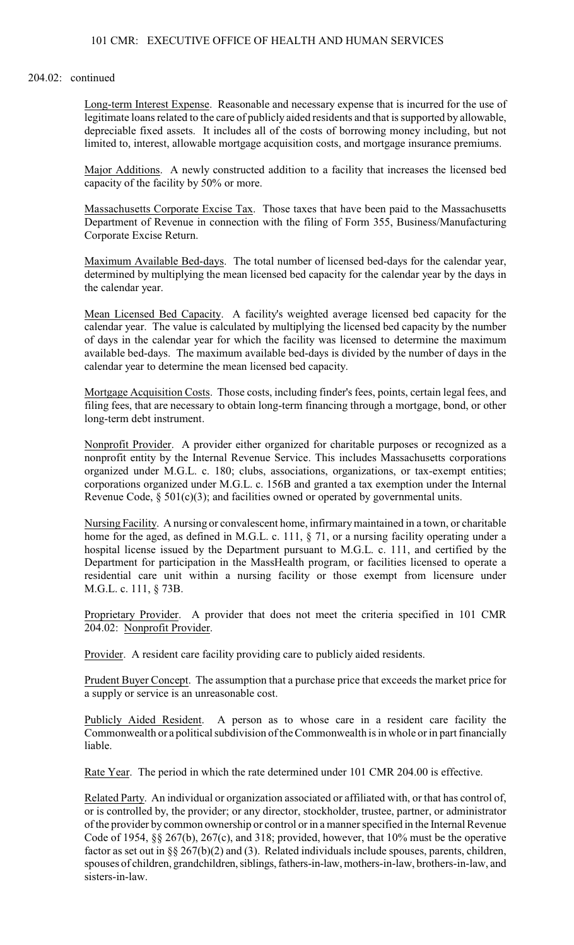### 204.02: continued

Long-term Interest Expense. Reasonable and necessary expense that is incurred for the use of legitimate loans related to the care of publicly aided residents and that is supported by allowable, depreciable fixed assets. It includes all of the costs of borrowing money including, but not limited to, interest, allowable mortgage acquisition costs, and mortgage insurance premiums.

Major Additions. A newly constructed addition to a facility that increases the licensed bed capacity of the facility by 50% or more.

Massachusetts Corporate Excise Tax. Those taxes that have been paid to the Massachusetts Department of Revenue in connection with the filing of Form 355, Business/Manufacturing Corporate Excise Return.

Maximum Available Bed-days. The total number of licensed bed-days for the calendar year, determined by multiplying the mean licensed bed capacity for the calendar year by the days in the calendar year.

Mean Licensed Bed Capacity. A facility's weighted average licensed bed capacity for the calendar year. The value is calculated by multiplying the licensed bed capacity by the number of days in the calendar year for which the facility was licensed to determine the maximum available bed-days. The maximum available bed-days is divided by the number of days in the calendar year to determine the mean licensed bed capacity.

Mortgage Acquisition Costs. Those costs, including finder's fees, points, certain legal fees, and filing fees, that are necessary to obtain long-term financing through a mortgage, bond, or other long-term debt instrument.

Nonprofit Provider. A provider either organized for charitable purposes or recognized as a nonprofit entity by the Internal Revenue Service. This includes Massachusetts corporations organized under M.G.L. c. 180; clubs, associations, organizations, or tax-exempt entities; corporations organized under M.G.L. c. 156B and granted a tax exemption under the Internal Revenue Code,  $\S 501(c)(3)$ ; and facilities owned or operated by governmental units.

Nursing Facility. A nursing or convalescent home, infirmarymaintained in a town, or charitable home for the aged, as defined in M.G.L. c. 111, § 71, or a nursing facility operating under a hospital license issued by the Department pursuant to M.G.L. c. 111, and certified by the Department for participation in the MassHealth program, or facilities licensed to operate a residential care unit within a nursing facility or those exempt from licensure under M.G.L. c. 111, § 73B.

Proprietary Provider. A provider that does not meet the criteria specified in 101 CMR 204.02: Nonprofit Provider.

Provider. A resident care facility providing care to publicly aided residents.

Prudent Buyer Concept. The assumption that a purchase price that exceeds the market price for a supply or service is an unreasonable cost.

Publicly Aided Resident. A person as to whose care in a resident care facility the Commonwealth or a political subdivision of the Commonwealth is in whole or in part financially liable.

Rate Year. The period in which the rate determined under 101 CMR 204.00 is effective.

Related Party. An individual or organization associated or affiliated with, or that has control of, or is controlled by, the provider; or any director, stockholder, trustee, partner, or administrator of the provider by common ownership or control or in a manner specified in the Internal Revenue Code of 1954, §§ 267(b), 267(c), and 318; provided, however, that 10% must be the operative factor as set out in  $\S$ § 267(b)(2) and (3). Related individuals include spouses, parents, children, spouses of children, grandchildren, siblings, fathers-in-law, mothers-in-law, brothers-in-law, and sisters-in-law.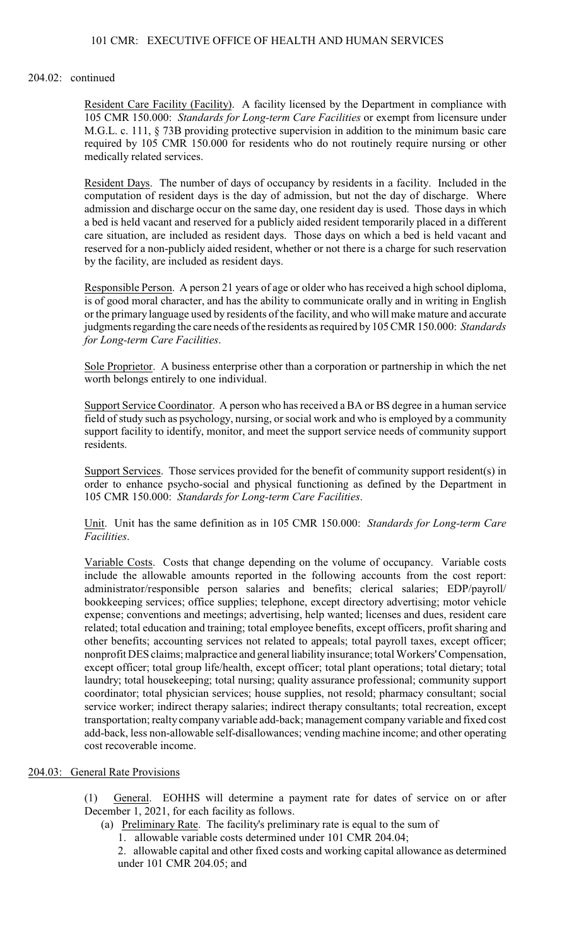## 101 CMR: EXECUTIVE OFFICE OF HEALTH AND HUMAN SERVICES

### 204.02: continued

Resident Care Facility (Facility). A facility licensed by the Department in compliance with 105 CMR 150.000: *Standards for Long-term Care Facilities* or exempt from licensure under M.G.L. c. 111, § 73B providing protective supervision in addition to the minimum basic care required by 105 CMR 150.000 for residents who do not routinely require nursing or other medically related services.

Resident Days. The number of days of occupancy by residents in a facility. Included in the computation of resident days is the day of admission, but not the day of discharge. Where admission and discharge occur on the same day, one resident day is used. Those days in which a bed is held vacant and reserved for a publicly aided resident temporarily placed in a different care situation, are included as resident days. Those days on which a bed is held vacant and reserved for a non-publicly aided resident, whether or not there is a charge for such reservation by the facility, are included as resident days.

Responsible Person. A person 21 years of age or older who has received a high school diploma, is of good moral character, and has the ability to communicate orally and in writing in English or the primary language used by residents of the facility, and who will make mature and accurate judgments regarding the care needs of the residents as required by105 CMR 150.000: *Standards for Long-term Care Facilities*.

Sole Proprietor. A business enterprise other than a corporation or partnership in which the net worth belongs entirely to one individual.

Support Service Coordinator. A person who has received a BA or BS degree in a human service field of study such as psychology, nursing, orsocial work and who is employed by a community support facility to identify, monitor, and meet the support service needs of community support residents.

Support Services. Those services provided for the benefit of community support resident(s) in order to enhance psycho-social and physical functioning as defined by the Department in 105 CMR 150.000: *Standards for Long-term Care Facilities*.

Unit. Unit has the same definition as in 105 CMR 150.000: *Standards for Long-term Care Facilities*.

Variable Costs. Costs that change depending on the volume of occupancy. Variable costs include the allowable amounts reported in the following accounts from the cost report: administrator/responsible person salaries and benefits; clerical salaries; EDP/payroll/ bookkeeping services; office supplies; telephone, except directory advertising; motor vehicle expense; conventions and meetings; advertising, help wanted; licenses and dues, resident care related; total education and training; total employee benefits, except officers, profit sharing and other benefits; accounting services not related to appeals; total payroll taxes, except officer; nonprofit DES claims; malpractice and general liability insurance; total Workers' Compensation, except officer; total group life/health, except officer; total plant operations; total dietary; total laundry; total housekeeping; total nursing; quality assurance professional; community support coordinator; total physician services; house supplies, not resold; pharmacy consultant; social service worker; indirect therapy salaries; indirect therapy consultants; total recreation, except transportation; realty company variable add-back; management company variable and fixed cost add-back, less non-allowable self-disallowances; vending machine income; and other operating cost recoverable income.

# 204.03: General Rate Provisions

(1) General. EOHHS will determine a payment rate for dates of service on or after December 1, 2021, for each facility as follows.

- (a) Preliminary Rate. The facility's preliminary rate is equal to the sum of
	- 1. allowable variable costs determined under 101 CMR 204.04;

2. allowable capital and other fixed costs and working capital allowance as determined under 101 CMR 204.05; and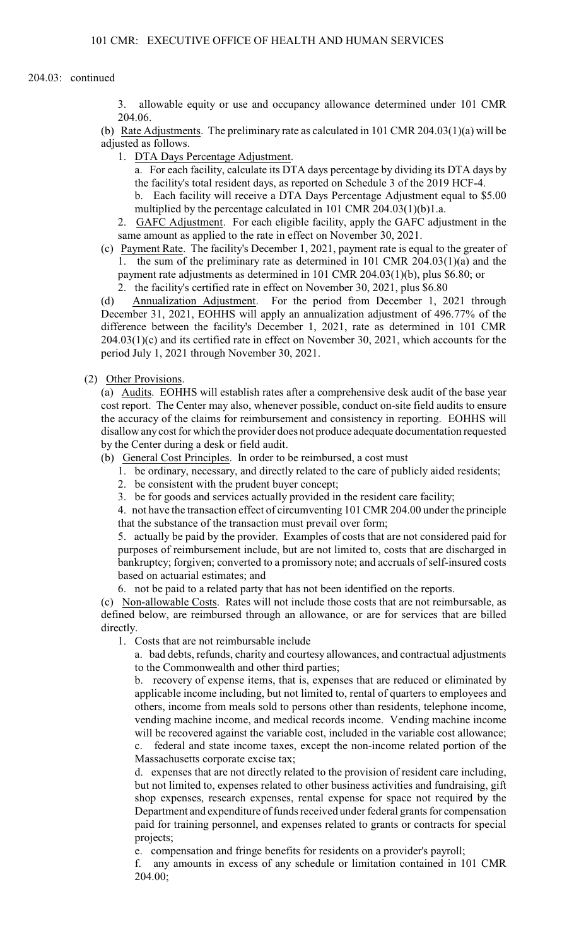## 204.03: continued

3. allowable equity or use and occupancy allowance determined under 101 CMR 204.06.

(b) Rate Adjustments. The preliminary rate as calculated in 101 CMR 204.03(1)(a) will be adjusted as follows.

- 1. DTA Days Percentage Adjustment.
	- a. For each facility, calculate its DTA days percentage by dividing its DTA days by the facility's total resident days, as reported on Schedule 3 of the 2019 HCF-4.

b. Each facility will receive a DTA Days Percentage Adjustment equal to \$5.00 multiplied by the percentage calculated in 101 CMR 204.03(1)(b)1.a.

2. GAFC Adjustment. For each eligible facility, apply the GAFC adjustment in the same amount as applied to the rate in effect on November 30, 2021.

- (c) Payment Rate. The facility's December 1, 2021, payment rate is equal to the greater of 1. the sum of the preliminary rate as determined in 101 CMR 204.03(1)(a) and the payment rate adjustments as determined in 101 CMR 204.03(1)(b), plus \$6.80; or
	- 2. the facility's certified rate in effect on November 30, 2021, plus \$6.80

(d) Annualization Adjustment. For the period from December 1, 2021 through December 31, 2021, EOHHS will apply an annualization adjustment of 496.77% of the difference between the facility's December 1, 2021, rate as determined in 101 CMR 204.03(1)(c) and its certified rate in effect on November 30, 2021, which accounts for the period July 1, 2021 through November 30, 2021.

## (2) Other Provisions.

(a) Audits. EOHHS will establish rates after a comprehensive desk audit of the base year cost report. The Center may also, whenever possible, conduct on-site field audits to ensure the accuracy of the claims for reimbursement and consistency in reporting. EOHHS will disallow any cost for which the provider does not produce adequate documentation requested by the Center during a desk or field audit.

- (b) General Cost Principles. In order to be reimbursed, a cost must
	- 1. be ordinary, necessary, and directly related to the care of publicly aided residents;
	- 2. be consistent with the prudent buyer concept;
	- 3. be for goods and services actually provided in the resident care facility;

4. not have the transaction effect of circumventing 101 CMR 204.00 under the principle that the substance of the transaction must prevail over form;

5. actually be paid by the provider. Examples of costs that are not considered paid for purposes of reimbursement include, but are not limited to, costs that are discharged in bankruptcy; forgiven; converted to a promissory note; and accruals of self-insured costs based on actuarial estimates; and

6. not be paid to a related party that has not been identified on the reports.

(c) Non-allowable Costs. Rates will not include those costs that are not reimbursable, as defined below, are reimbursed through an allowance, or are for services that are billed directly.

1. Costs that are not reimbursable include

a. bad debts, refunds, charity and courtesy allowances, and contractual adjustments to the Commonwealth and other third parties;

b. recovery of expense items, that is, expenses that are reduced or eliminated by applicable income including, but not limited to, rental of quarters to employees and others, income from meals sold to persons other than residents, telephone income, vending machine income, and medical records income. Vending machine income will be recovered against the variable cost, included in the variable cost allowance; federal and state income taxes, except the non-income related portion of the

Massachusetts corporate excise tax;

d. expenses that are not directly related to the provision of resident care including, but not limited to, expenses related to other business activities and fundraising, gift shop expenses, research expenses, rental expense for space not required by the Department and expenditure of funds received under federal grants for compensation paid for training personnel, and expenses related to grants or contracts for special projects;

e. compensation and fringe benefits for residents on a provider's payroll;

f. any amounts in excess of any schedule or limitation contained in 101 CMR 204.00;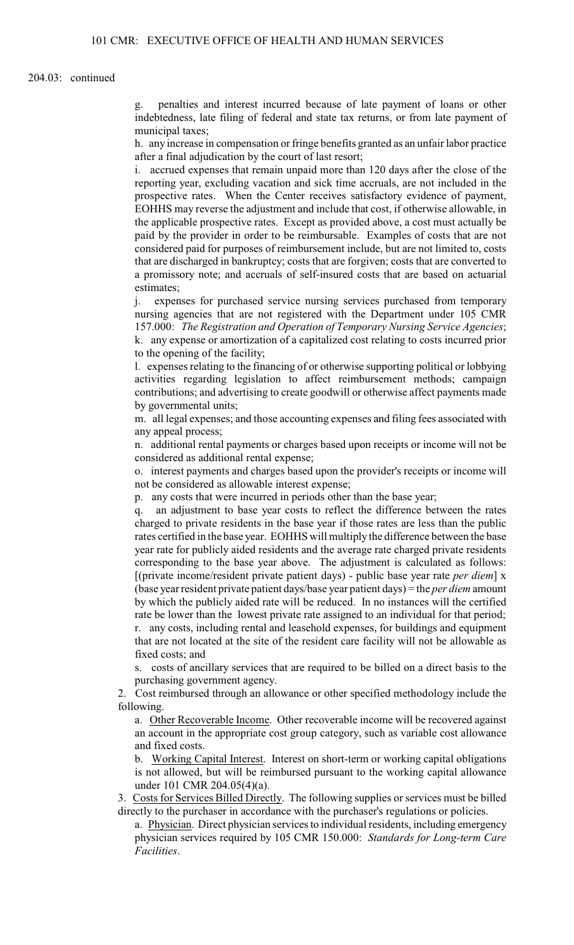#### 204.03: continued

g. penalties and interest incurred because of late payment of loans or other indebtedness, late filing of federal and state tax returns, or from late payment of municipal taxes;

h. any increase in compensation or fringe benefits granted as an unfair labor practice after a final adjudication by the court of last resort;

i. accrued expenses that remain unpaid more than 120 days after the close of the reporting year, excluding vacation and sick time accruals, are not included in the prospective rates. When the Center receives satisfactory evidence of payment, EOHHS may reverse the adjustment and include that cost, if otherwise allowable, in the applicable prospective rates. Except as provided above, a cost must actually be paid by the provider in order to be reimbursable. Examples of costs that are not considered paid for purposes of reimbursement include, but are not limited to, costs that are discharged in bankruptcy; costs that are forgiven; costs that are converted to a promissory note; and accruals of self-insured costs that are based on actuarial estimates;

j. expenses for purchased service nursing services purchased from temporary nursing agencies that are not registered with the Department under 105 CMR 157.000: *The Registration and Operation of Temporary Nursing Service Agencies*; k. any expense or amortization of a capitalized cost relating to costs incurred prior to the opening of the facility;

l. expenses relating to the financing of or otherwise supporting political or lobbying activities regarding legislation to affect reimbursement methods; campaign contributions; and advertising to create goodwill or otherwise affect payments made by governmental units;

m. all legal expenses; and those accounting expenses and filing fees associated with any appeal process;

n. additional rental payments or charges based upon receipts or income will not be considered as additional rental expense;

o. interest payments and charges based upon the provider's receipts or income will not be considered as allowable interest expense;

p. any costs that were incurred in periods other than the base year;

q. an adjustment to base year costs to reflect the difference between the rates charged to private residents in the base year if those rates are less than the public rates certified in the base year. EOHHS will multiply the difference between the base year rate for publicly aided residents and the average rate charged private residents corresponding to the base year above. The adjustment is calculated as follows: [(private income/resident private patient days) - public base year rate *per diem*] x (base yearresident private patient days/base year patient days) = the *per diem* amount by which the publicly aided rate will be reduced. In no instances will the certified rate be lower than the lowest private rate assigned to an individual for that period; r. any costs, including rental and leasehold expenses, for buildings and equipment that are not located at the site of the resident care facility will not be allowable as fixed costs; and

s. costs of ancillary services that are required to be billed on a direct basis to the purchasing government agency.

2. Cost reimbursed through an allowance or other specified methodology include the following.

a. Other Recoverable Income. Other recoverable income will be recovered against an account in the appropriate cost group category, such as variable cost allowance and fixed costs.

b. Working Capital Interest. Interest on short-term or working capital obligations is not allowed, but will be reimbursed pursuant to the working capital allowance under 101 CMR 204.05(4)(a).

3. Costs for Services Billed Directly. The following supplies or services must be billed directly to the purchaser in accordance with the purchaser's regulations or policies.

a. Physician. Direct physician services to individual residents, including emergency physician services required by 105 CMR 150.000: *Standards for Long-term Care Facilities*.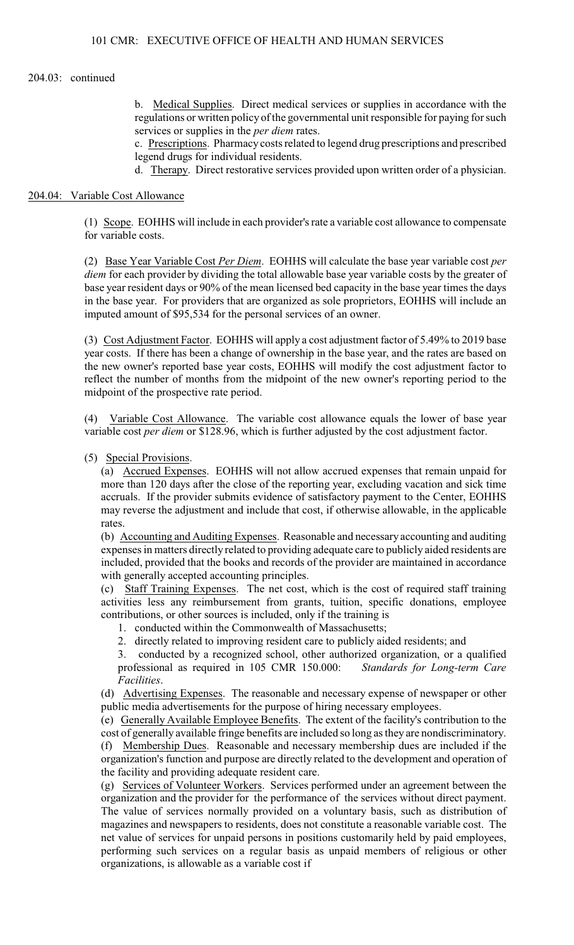#### 204.03: continued

b. Medical Supplies. Direct medical services or supplies in accordance with the regulations or written policy of the governmental unit responsible for paying for such services or supplies in the *per diem* rates.

c. Prescriptions. Pharmacy costs related to legend drug prescriptions and prescribed legend drugs for individual residents.

d. Therapy. Direct restorative services provided upon written order of a physician.

#### 204.04: Variable Cost Allowance

(1) Scope. EOHHS will include in each provider's rate a variable cost allowance to compensate for variable costs.

(2) Base Year Variable Cost *Per Diem*. EOHHS will calculate the base year variable cost *per diem* for each provider by dividing the total allowable base year variable costs by the greater of base year resident days or 90% of the mean licensed bed capacity in the base year times the days in the base year. For providers that are organized as sole proprietors, EOHHS will include an imputed amount of \$95,534 for the personal services of an owner.

(3) Cost Adjustment Factor. EOHHS will apply a cost adjustment factor of 5.49% to 2019 base year costs. If there has been a change of ownership in the base year, and the rates are based on the new owner's reported base year costs, EOHHS will modify the cost adjustment factor to reflect the number of months from the midpoint of the new owner's reporting period to the midpoint of the prospective rate period.

(4) Variable Cost Allowance. The variable cost allowance equals the lower of base year variable cost *per diem* or \$128.96, which is further adjusted by the cost adjustment factor.

#### (5) Special Provisions.

(a) Accrued Expenses. EOHHS will not allow accrued expenses that remain unpaid for more than 120 days after the close of the reporting year, excluding vacation and sick time accruals. If the provider submits evidence of satisfactory payment to the Center, EOHHS may reverse the adjustment and include that cost, if otherwise allowable, in the applicable rates.

(b) Accounting and Auditing Expenses. Reasonable and necessary accounting and auditing expenses in matters directly related to providing adequate care to publicly aided residents are included, provided that the books and records of the provider are maintained in accordance with generally accepted accounting principles.

(c) Staff Training Expenses. The net cost, which is the cost of required staff training activities less any reimbursement from grants, tuition, specific donations, employee contributions, or other sources is included, only if the training is

1. conducted within the Commonwealth of Massachusetts;

2. directly related to improving resident care to publicly aided residents; and

3. conducted by a recognized school, other authorized organization, or a qualified professional as required in 105 CMR 150.000: *Standards for Long-term Care Facilities*.

(d) Advertising Expenses. The reasonable and necessary expense of newspaper or other public media advertisements for the purpose of hiring necessary employees.

(e) Generally Available Employee Benefits. The extent of the facility's contribution to the cost of generally available fringe benefits are included so long as they are nondiscriminatory. (f) Membership Dues. Reasonable and necessary membership dues are included if the organization's function and purpose are directly related to the development and operation of the facility and providing adequate resident care.

(g) Services of Volunteer Workers. Services performed under an agreement between the organization and the provider for the performance of the services without direct payment. The value of services normally provided on a voluntary basis, such as distribution of magazines and newspapers to residents, does not constitute a reasonable variable cost. The net value of services for unpaid persons in positions customarily held by paid employees, performing such services on a regular basis as unpaid members of religious or other organizations, is allowable as a variable cost if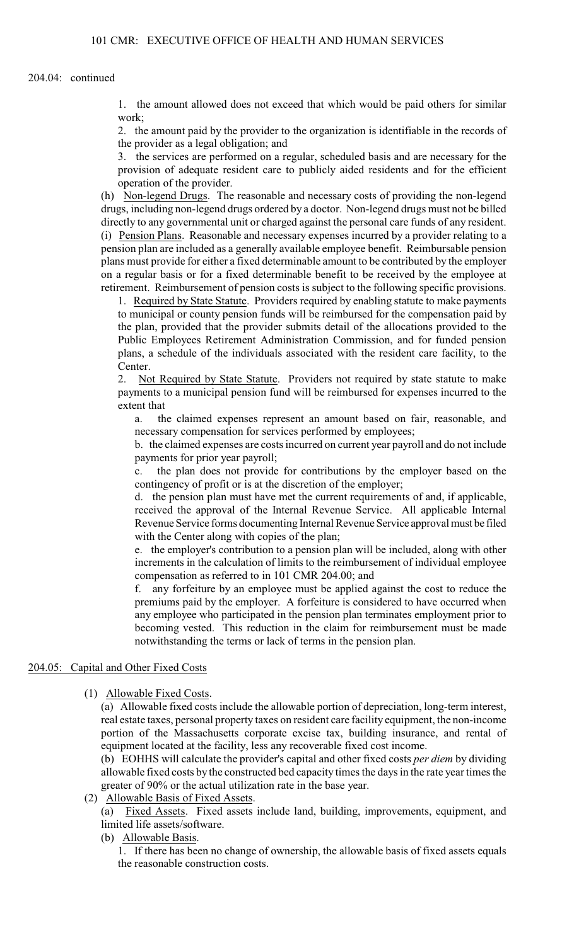1. the amount allowed does not exceed that which would be paid others for similar work;

2. the amount paid by the provider to the organization is identifiable in the records of the provider as a legal obligation; and

3. the services are performed on a regular, scheduled basis and are necessary for the provision of adequate resident care to publicly aided residents and for the efficient operation of the provider.

(h) Non-legend Drugs. The reasonable and necessary costs of providing the non-legend drugs, including non-legend drugs ordered by a doctor. Non-legend drugs must not be billed directly to any governmental unit or charged against the personal care funds of any resident. (i) Pension Plans. Reasonable and necessary expenses incurred by a provider relating to a pension plan are included as a generally available employee benefit. Reimbursable pension plans must provide for either a fixed determinable amount to be contributed by the employer on a regular basis or for a fixed determinable benefit to be received by the employee at retirement. Reimbursement of pension costs is subject to the following specific provisions.

1. Required by State Statute. Providers required by enabling statute to make payments to municipal or county pension funds will be reimbursed for the compensation paid by the plan, provided that the provider submits detail of the allocations provided to the Public Employees Retirement Administration Commission, and for funded pension plans, a schedule of the individuals associated with the resident care facility, to the Center.

2. Not Required by State Statute. Providers not required by state statute to make payments to a municipal pension fund will be reimbursed for expenses incurred to the extent that

a. the claimed expenses represent an amount based on fair, reasonable, and necessary compensation for services performed by employees;

b. the claimed expenses are costs incurred on current year payroll and do not include payments for prior year payroll;

c. the plan does not provide for contributions by the employer based on the contingency of profit or is at the discretion of the employer;

d. the pension plan must have met the current requirements of and, if applicable, received the approval of the Internal Revenue Service. All applicable Internal Revenue Service forms documenting Internal Revenue Service approval must be filed with the Center along with copies of the plan;

e. the employer's contribution to a pension plan will be included, along with other increments in the calculation of limits to the reimbursement of individual employee compensation as referred to in 101 CMR 204.00; and

f. any forfeiture by an employee must be applied against the cost to reduce the premiums paid by the employer. A forfeiture is considered to have occurred when any employee who participated in the pension plan terminates employment prior to becoming vested. This reduction in the claim for reimbursement must be made notwithstanding the terms or lack of terms in the pension plan.

### 204.05: Capital and Other Fixed Costs

### (1) Allowable Fixed Costs.

(a) Allowable fixed costs include the allowable portion of depreciation, long-term interest, real estate taxes, personal property taxes on resident care facility equipment, the non-income portion of the Massachusetts corporate excise tax, building insurance, and rental of equipment located at the facility, less any recoverable fixed cost income.

(b) EOHHS will calculate the provider's capital and other fixed costs *per diem* by dividing allowable fixed costs by the constructed bed capacity times the days in the rate year times the greater of 90% or the actual utilization rate in the base year.

(2) Allowable Basis of Fixed Assets.

(a) Fixed Assets. Fixed assets include land, building, improvements, equipment, and limited life assets/software.

(b) Allowable Basis.

1. If there has been no change of ownership, the allowable basis of fixed assets equals the reasonable construction costs.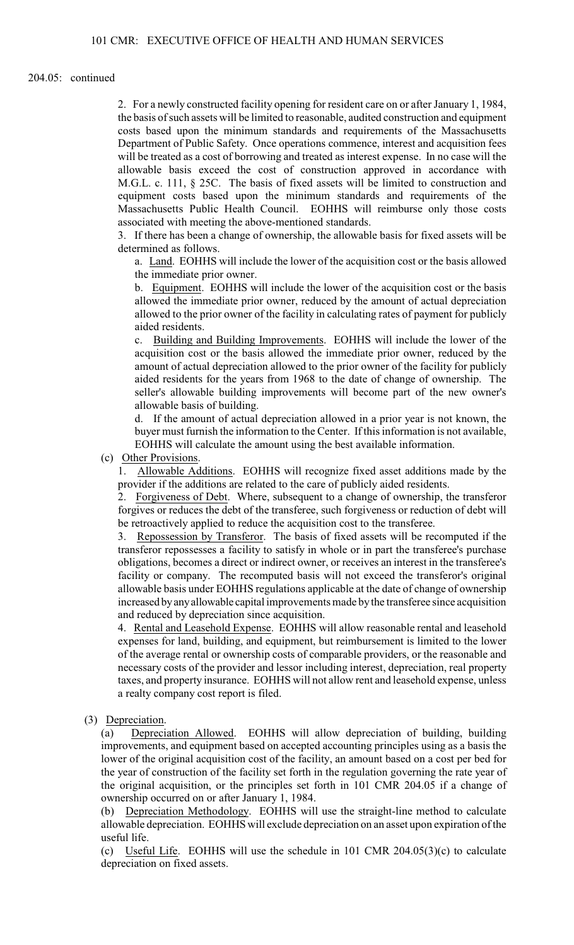### 204.05: continued

2. For a newly constructed facility opening for resident care on or after January 1, 1984, the basis of such assets will be limited to reasonable, audited construction and equipment costs based upon the minimum standards and requirements of the Massachusetts Department of Public Safety. Once operations commence, interest and acquisition fees will be treated as a cost of borrowing and treated as interest expense. In no case will the allowable basis exceed the cost of construction approved in accordance with M.G.L. c. 111, § 25C. The basis of fixed assets will be limited to construction and equipment costs based upon the minimum standards and requirements of the Massachusetts Public Health Council. EOHHS will reimburse only those costs associated with meeting the above-mentioned standards.

3. If there has been a change of ownership, the allowable basis for fixed assets will be determined as follows.

a. Land. EOHHS will include the lower of the acquisition cost or the basis allowed the immediate prior owner.

b. Equipment. EOHHS will include the lower of the acquisition cost or the basis allowed the immediate prior owner, reduced by the amount of actual depreciation allowed to the prior owner of the facility in calculating rates of payment for publicly aided residents.

c. Building and Building Improvements. EOHHS will include the lower of the acquisition cost or the basis allowed the immediate prior owner, reduced by the amount of actual depreciation allowed to the prior owner of the facility for publicly aided residents for the years from 1968 to the date of change of ownership. The seller's allowable building improvements will become part of the new owner's allowable basis of building.

d. If the amount of actual depreciation allowed in a prior year is not known, the buyer must furnish the information to the Center. If this information is not available, EOHHS will calculate the amount using the best available information.

(c) Other Provisions.

1. Allowable Additions. EOHHS will recognize fixed asset additions made by the provider if the additions are related to the care of publicly aided residents.

2. Forgiveness of Debt. Where, subsequent to a change of ownership, the transferor forgives or reduces the debt of the transferee, such forgiveness or reduction of debt will be retroactively applied to reduce the acquisition cost to the transferee.

3. Repossession by Transferor. The basis of fixed assets will be recomputed if the transferor repossesses a facility to satisfy in whole or in part the transferee's purchase obligations, becomes a direct or indirect owner, or receives an interest in the transferee's facility or company. The recomputed basis will not exceed the transferor's original allowable basis under EOHHS regulations applicable at the date of change of ownership increased by any allowable capital improvements made by the transferee since acquisition and reduced by depreciation since acquisition.

4. Rental and Leasehold Expense. EOHHS will allow reasonable rental and leasehold expenses for land, building, and equipment, but reimbursement is limited to the lower of the average rental or ownership costs of comparable providers, or the reasonable and necessary costs of the provider and lessor including interest, depreciation, real property taxes, and property insurance. EOHHS will not allow rent and leasehold expense, unless a realty company cost report is filed.

(3) Depreciation.

(a) Depreciation Allowed. EOHHS will allow depreciation of building, building improvements, and equipment based on accepted accounting principles using as a basis the lower of the original acquisition cost of the facility, an amount based on a cost per bed for the year of construction of the facility set forth in the regulation governing the rate year of the original acquisition, or the principles set forth in 101 CMR 204.05 if a change of ownership occurred on or after January 1, 1984.

(b) Depreciation Methodology. EOHHS will use the straight-line method to calculate allowable depreciation. EOHHS will exclude depreciation on an asset upon expiration of the useful life.

(c) Useful Life. EOHHS will use the schedule in  $101$  CMR  $204.05(3)(c)$  to calculate depreciation on fixed assets.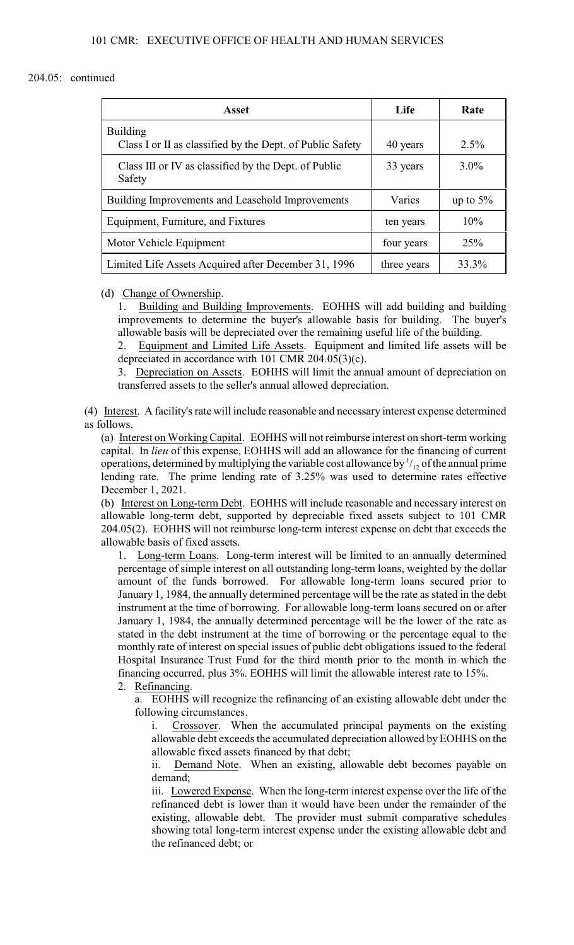## 204.05: continued

| Asset                                                                        | Life        | Rate        |
|------------------------------------------------------------------------------|-------------|-------------|
| <b>Building</b><br>Class I or II as classified by the Dept. of Public Safety | 40 years    | $2.5\%$     |
| Class III or IV as classified by the Dept. of Public<br>Safety               | 33 years    | $3.0\%$     |
| Building Improvements and Leasehold Improvements                             | Varies      | up to $5\%$ |
| Equipment, Furniture, and Fixtures                                           | ten years   | 10%         |
| Motor Vehicle Equipment                                                      | four years  | 25%         |
| Limited Life Assets Acquired after December 31, 1996                         | three years | 33.3%       |

(d) Change of Ownership.

1. Building and Building Improvements. EOHHS will add building and building improvements to determine the buyer's allowable basis for building. The buyer's allowable basis will be depreciated over the remaining useful life of the building.

2. Equipment and Limited Life Assets. Equipment and limited life assets will be depreciated in accordance with 101 CMR 204.05(3)(c).

3. Depreciation on Assets. EOHHS will limit the annual amount of depreciation on transferred assets to the seller's annual allowed depreciation.

(4) Interest. A facility's rate will include reasonable and necessary interest expense determined as follows.

(a) Interest on Working Capital. EOHHS will not reimburse interest on short-term working capital. In *lieu* of this expense, EOHHS will add an allowance for the financing of current operations, determined by multiplying the variable cost allowance by  $\frac{1}{1}$  of the annual prime lending rate. The prime lending rate of 3.25% was used to determine rates effective December 1, 2021.

(b) Interest on Long-term Debt. EOHHS will include reasonable and necessary interest on allowable long-term debt, supported by depreciable fixed assets subject to 101 CMR 204.05(2). EOHHS will not reimburse long-term interest expense on debt that exceeds the allowable basis of fixed assets.

1. Long-term Loans. Long-term interest will be limited to an annually determined percentage of simple interest on all outstanding long-term loans, weighted by the dollar amount of the funds borrowed. For allowable long-term loans secured prior to January 1, 1984, the annually determined percentage will be the rate as stated in the debt instrument at the time of borrowing. For allowable long-term loans secured on or after January 1, 1984, the annually determined percentage will be the lower of the rate as stated in the debt instrument at the time of borrowing or the percentage equal to the monthly rate of interest on special issues of public debt obligations issued to the federal Hospital Insurance Trust Fund for the third month prior to the month in which the financing occurred, plus 3%. EOHHS will limit the allowable interest rate to 15%. 2. Refinancing.

a. EOHHS will recognize the refinancing of an existing allowable debt under the following circumstances.

i. Crossover. When the accumulated principal payments on the existing allowable debt exceeds the accumulated depreciation allowed by EOHHS on the allowable fixed assets financed by that debt;

ii. Demand Note. When an existing, allowable debt becomes payable on demand;

iii. Lowered Expense. When the long-term interest expense over the life of the refinanced debt is lower than it would have been under the remainder of the existing, allowable debt. The provider must submit comparative schedules showing total long-term interest expense under the existing allowable debt and the refinanced debt; or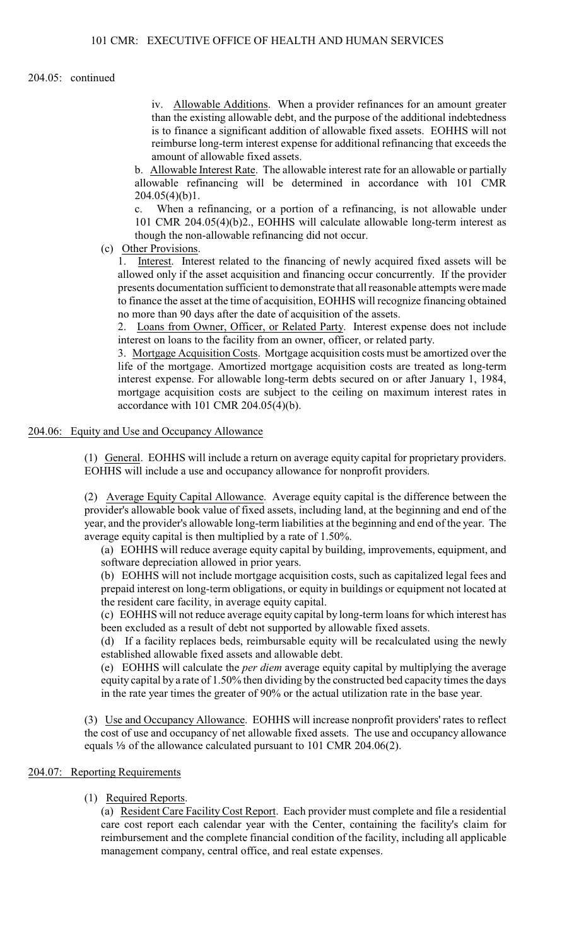204.05: continued

iv. Allowable Additions. When a provider refinances for an amount greater than the existing allowable debt, and the purpose of the additional indebtedness is to finance a significant addition of allowable fixed assets. EOHHS will not reimburse long-term interest expense for additional refinancing that exceeds the amount of allowable fixed assets.

b. Allowable Interest Rate. The allowable interest rate for an allowable or partially allowable refinancing will be determined in accordance with 101 CMR  $204.05(4)(b)1$ .

c. When a refinancing, or a portion of a refinancing, is not allowable under 101 CMR 204.05(4)(b)2., EOHHS will calculate allowable long-term interest as though the non-allowable refinancing did not occur.

(c) Other Provisions.

1. Interest. Interest related to the financing of newly acquired fixed assets will be allowed only if the asset acquisition and financing occur concurrently. If the provider presents documentation sufficient to demonstrate that all reasonable attempts were made to finance the asset at the time of acquisition, EOHHS will recognize financing obtained no more than 90 days after the date of acquisition of the assets.

2. Loans from Owner, Officer, or Related Party. Interest expense does not include interest on loans to the facility from an owner, officer, or related party.

3. Mortgage Acquisition Costs. Mortgage acquisition costs must be amortized over the life of the mortgage. Amortized mortgage acquisition costs are treated as long-term interest expense. For allowable long-term debts secured on or after January 1, 1984, mortgage acquisition costs are subject to the ceiling on maximum interest rates in accordance with 101 CMR 204.05(4)(b).

# 204.06: Equity and Use and Occupancy Allowance

(1) General. EOHHS will include a return on average equity capital for proprietary providers. EOHHS will include a use and occupancy allowance for nonprofit providers.

(2) Average Equity Capital Allowance. Average equity capital is the difference between the provider's allowable book value of fixed assets, including land, at the beginning and end of the year, and the provider's allowable long-term liabilities at the beginning and end of the year. The average equity capital is then multiplied by a rate of 1.50%.

(a) EOHHS will reduce average equity capital by building, improvements, equipment, and software depreciation allowed in prior years.

(b) EOHHS will not include mortgage acquisition costs, such as capitalized legal fees and prepaid interest on long-term obligations, or equity in buildings or equipment not located at the resident care facility, in average equity capital.

(c) EOHHS will not reduce average equity capital by long-term loans for which interest has been excluded as a result of debt not supported by allowable fixed assets.

(d) If a facility replaces beds, reimbursable equity will be recalculated using the newly established allowable fixed assets and allowable debt.

(e) EOHHS will calculate the *per diem* average equity capital by multiplying the average equity capital by a rate of 1.50% then dividing by the constructed bed capacity times the days in the rate year times the greater of 90% or the actual utilization rate in the base year.

(3) Use and Occupancy Allowance. EOHHS will increase nonprofit providers' rates to reflect the cost of use and occupancy of net allowable fixed assets. The use and occupancy allowance equals  $\frac{1}{3}$  of the allowance calculated pursuant to 101 CMR 204.06(2).

# 204.07: Reporting Requirements

(1) Required Reports.

(a) Resident Care Facility Cost Report. Each provider must complete and file a residential care cost report each calendar year with the Center, containing the facility's claim for reimbursement and the complete financial condition of the facility, including all applicable management company, central office, and real estate expenses.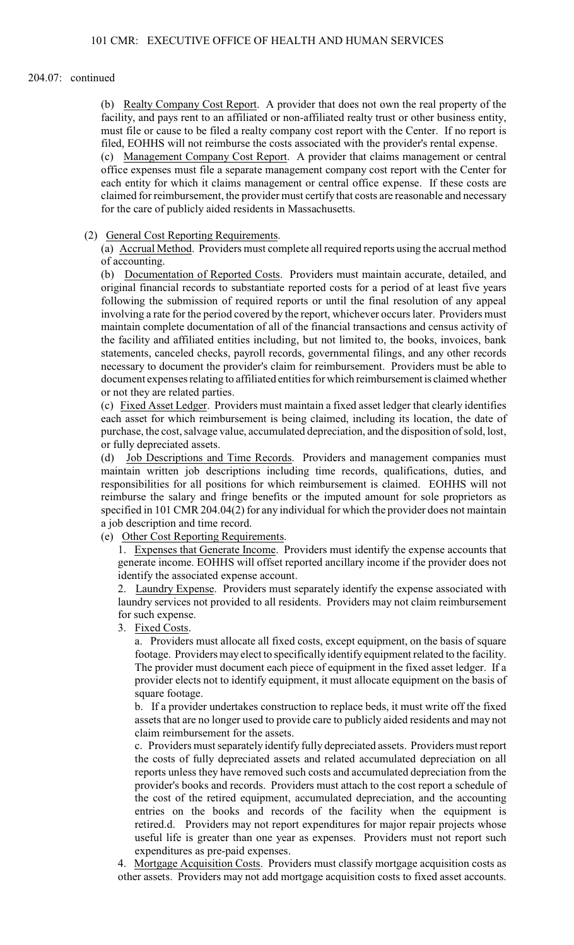### 204.07: continued

(b) Realty Company Cost Report. A provider that does not own the real property of the facility, and pays rent to an affiliated or non-affiliated realty trust or other business entity, must file or cause to be filed a realty company cost report with the Center. If no report is filed, EOHHS will not reimburse the costs associated with the provider's rental expense.

(c) Management Company Cost Report. A provider that claims management or central office expenses must file a separate management company cost report with the Center for each entity for which it claims management or central office expense. If these costs are claimed for reimbursement, the provider must certify that costs are reasonable and necessary for the care of publicly aided residents in Massachusetts.

## (2) General Cost Reporting Requirements.

(a) Accrual Method. Providers must complete all required reports using the accrual method of accounting.

(b) Documentation of Reported Costs. Providers must maintain accurate, detailed, and original financial records to substantiate reported costs for a period of at least five years following the submission of required reports or until the final resolution of any appeal involving a rate for the period covered by the report, whichever occurs later. Providers must maintain complete documentation of all of the financial transactions and census activity of the facility and affiliated entities including, but not limited to, the books, invoices, bank statements, canceled checks, payroll records, governmental filings, and any other records necessary to document the provider's claim for reimbursement. Providers must be able to document expenses relating to affiliated entities for which reimbursement is claimed whether or not they are related parties.

(c) Fixed Asset Ledger. Providers must maintain a fixed asset ledger that clearly identifies each asset for which reimbursement is being claimed, including its location, the date of purchase, the cost, salvage value, accumulated depreciation, and the disposition ofsold, lost, or fully depreciated assets.

(d) Job Descriptions and Time Records. Providers and management companies must maintain written job descriptions including time records, qualifications, duties, and responsibilities for all positions for which reimbursement is claimed. EOHHS will not reimburse the salary and fringe benefits or the imputed amount for sole proprietors as specified in 101 CMR 204.04(2) for any individual for which the provider does not maintain a job description and time record.

## (e) Other Cost Reporting Requirements.

1. Expenses that Generate Income. Providers must identify the expense accounts that generate income. EOHHS will offset reported ancillary income if the provider does not identify the associated expense account.

2. Laundry Expense. Providers must separately identify the expense associated with laundry services not provided to all residents. Providers may not claim reimbursement for such expense.

3. Fixed Costs.

a. Providers must allocate all fixed costs, except equipment, on the basis of square footage. Providers may elect to specifically identify equipment related to the facility. The provider must document each piece of equipment in the fixed asset ledger. If a provider elects not to identify equipment, it must allocate equipment on the basis of square footage.

b. If a provider undertakes construction to replace beds, it must write off the fixed assets that are no longer used to provide care to publicly aided residents and may not claim reimbursement for the assets.

c. Providers must separately identify fully depreciated assets. Providers must report the costs of fully depreciated assets and related accumulated depreciation on all reports unless they have removed such costs and accumulated depreciation from the provider's books and records. Providers must attach to the cost report a schedule of the cost of the retired equipment, accumulated depreciation, and the accounting entries on the books and records of the facility when the equipment is retired.d. Providers may not report expenditures for major repair projects whose useful life is greater than one year as expenses. Providers must not report such expenditures as pre-paid expenses.

4. Mortgage Acquisition Costs. Providers must classify mortgage acquisition costs as other assets. Providers may not add mortgage acquisition costs to fixed asset accounts.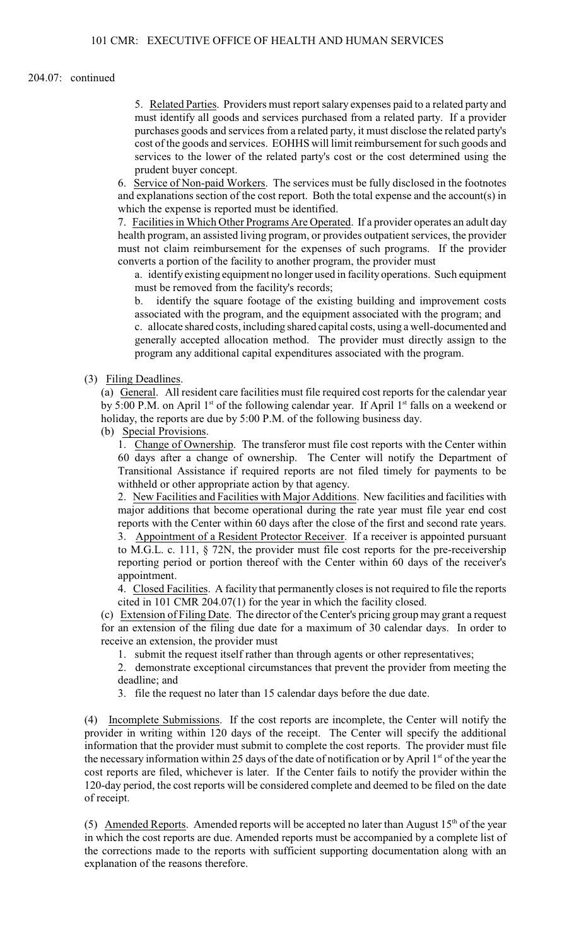## 204.07: continued

5. Related Parties. Providers must report salary expenses paid to a related party and must identify all goods and services purchased from a related party. If a provider purchases goods and services from a related party, it must disclose the related party's cost of the goods and services. EOHHS will limit reimbursement for such goods and services to the lower of the related party's cost or the cost determined using the prudent buyer concept.

6. Service of Non-paid Workers. The services must be fully disclosed in the footnotes and explanations section of the cost report. Both the total expense and the account(s) in which the expense is reported must be identified.

7. Facilities in Which Other Programs Are Operated. If a provider operates an adult day health program, an assisted living program, or provides outpatient services, the provider must not claim reimbursement for the expenses of such programs. If the provider converts a portion of the facility to another program, the provider must

a. identify existing equipment no longer used in facility operations. Such equipment must be removed from the facility's records;

b. identify the square footage of the existing building and improvement costs associated with the program, and the equipment associated with the program; and c. allocate shared costs, including shared capital costs, using a well-documented and generally accepted allocation method. The provider must directly assign to the program any additional capital expenditures associated with the program.

# (3) Filing Deadlines.

(a) General. All resident care facilities must file required cost reports for the calendar year by 5:00 P.M. on April 1<sup>st</sup> of the following calendar year. If April 1<sup>st</sup> falls on a weekend or holiday, the reports are due by 5:00 P.M. of the following business day.

(b) Special Provisions.

1. Change of Ownership. The transferor must file cost reports with the Center within 60 days after a change of ownership. The Center will notify the Department of Transitional Assistance if required reports are not filed timely for payments to be withheld or other appropriate action by that agency.

2. New Facilities and Facilities with Major Additions. New facilities and facilities with major additions that become operational during the rate year must file year end cost reports with the Center within 60 days after the close of the first and second rate years. 3. Appointment of a Resident Protector Receiver. If a receiver is appointed pursuant to M.G.L. c. 111, § 72N, the provider must file cost reports for the pre-receivership reporting period or portion thereof with the Center within 60 days of the receiver's appointment.

4. Closed Facilities. A facility that permanently closes is not required to file the reports cited in 101 CMR 204.07(1) for the year in which the facility closed.

(c) Extension of Filing Date. The director of the Center's pricing group may grant a request for an extension of the filing due date for a maximum of 30 calendar days. In order to receive an extension, the provider must

1. submit the request itself rather than through agents or other representatives;

2. demonstrate exceptional circumstances that prevent the provider from meeting the deadline; and

3. file the request no later than 15 calendar days before the due date.

(4) Incomplete Submissions. If the cost reports are incomplete, the Center will notify the provider in writing within 120 days of the receipt. The Center will specify the additional information that the provider must submit to complete the cost reports. The provider must file the necessary information within 25 days of the date of notification or by April  $1<sup>st</sup>$  of the year the cost reports are filed, whichever is later. If the Center fails to notify the provider within the 120-day period, the cost reports will be considered complete and deemed to be filed on the date of receipt.

(5) Amended Reports. Amended reports will be accepted no later than August  $15<sup>th</sup>$  of the year in which the cost reports are due. Amended reports must be accompanied by a complete list of the corrections made to the reports with sufficient supporting documentation along with an explanation of the reasons therefore.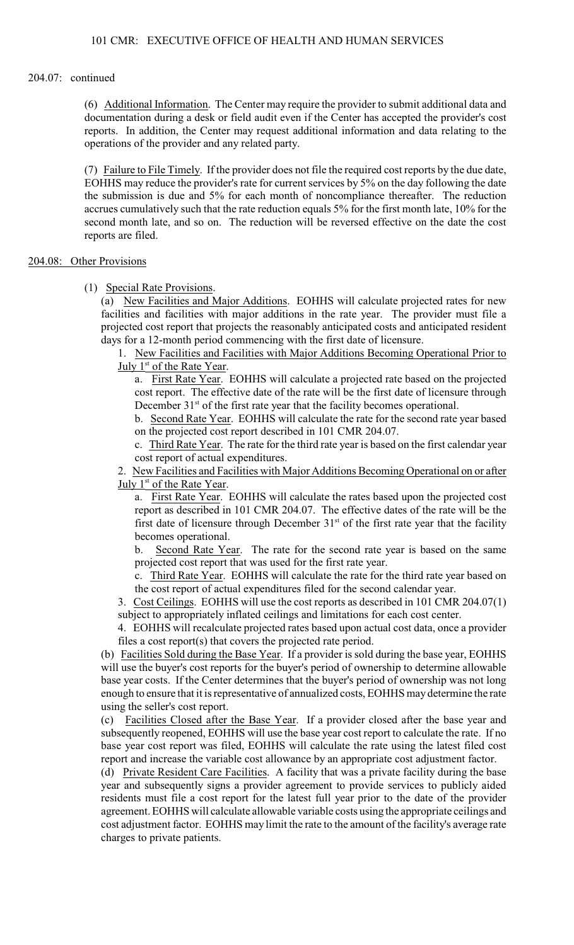### 204.07: continued

(6) Additional Information. The Center may require the provider to submit additional data and documentation during a desk or field audit even if the Center has accepted the provider's cost reports. In addition, the Center may request additional information and data relating to the operations of the provider and any related party.

(7) Failure to File Timely. If the provider does not file the required cost reports by the due date, EOHHS may reduce the provider's rate for current services by 5% on the day following the date the submission is due and 5% for each month of noncompliance thereafter. The reduction accrues cumulatively such that the rate reduction equals 5% for the first month late, 10% for the second month late, and so on. The reduction will be reversed effective on the date the cost reports are filed.

# 204.08: Other Provisions

### (1) Special Rate Provisions.

(a) New Facilities and Major Additions. EOHHS will calculate projected rates for new facilities and facilities with major additions in the rate year. The provider must file a projected cost report that projects the reasonably anticipated costs and anticipated resident days for a 12-month period commencing with the first date of licensure.

1. New Facilities and Facilities with Major Additions Becoming Operational Prior to July 1<sup>st</sup> of the Rate Year.

a. First Rate Year. EOHHS will calculate a projected rate based on the projected cost report. The effective date of the rate will be the first date of licensure through December  $31<sup>st</sup>$  of the first rate year that the facility becomes operational.

b. Second Rate Year. EOHHS will calculate the rate for the second rate year based on the projected cost report described in 101 CMR 204.07.

c. Third Rate Year. The rate for the third rate year is based on the first calendar year cost report of actual expenditures.

2. New Facilities and Facilities with Major Additions Becoming Operational on or after July 1<sup>st</sup> of the Rate Year.

a. First Rate Year. EOHHS will calculate the rates based upon the projected cost report as described in 101 CMR 204.07. The effective dates of the rate will be the first date of licensure through December  $31<sup>st</sup>$  of the first rate year that the facility becomes operational.

b. Second Rate Year. The rate for the second rate year is based on the same projected cost report that was used for the first rate year.

c. Third Rate Year. EOHHS will calculate the rate for the third rate year based on the cost report of actual expenditures filed for the second calendar year.

3. Cost Ceilings. EOHHS will use the cost reports as described in 101 CMR 204.07(1) subject to appropriately inflated ceilings and limitations for each cost center.

4. EOHHS will recalculate projected rates based upon actual cost data, once a provider files a cost report(s) that covers the projected rate period.

(b) Facilities Sold during the Base Year. If a provider is sold during the base year, EOHHS will use the buyer's cost reports for the buyer's period of ownership to determine allowable base year costs. If the Center determines that the buyer's period of ownership was not long enough to ensure that it is representative of annualized costs, EOHHS may determine the rate using the seller's cost report.

(c) Facilities Closed after the Base Year. If a provider closed after the base year and subsequently reopened, EOHHS will use the base year cost report to calculate the rate. If no base year cost report was filed, EOHHS will calculate the rate using the latest filed cost report and increase the variable cost allowance by an appropriate cost adjustment factor.

(d) Private Resident Care Facilities. A facility that was a private facility during the base year and subsequently signs a provider agreement to provide services to publicly aided residents must file a cost report for the latest full year prior to the date of the provider agreement. EOHHS will calculate allowable variable costs using the appropriate ceilings and cost adjustment factor. EOHHS may limit the rate to the amount of the facility's average rate charges to private patients.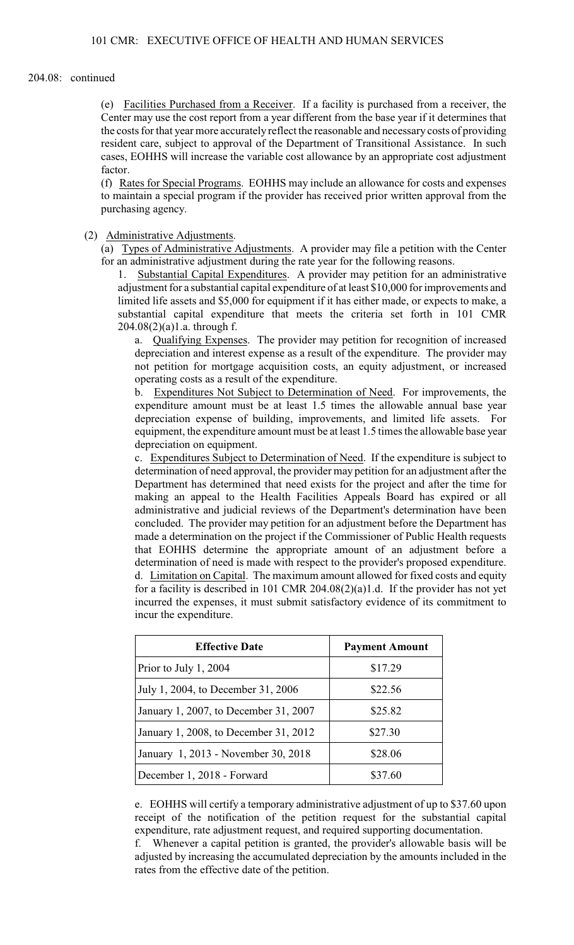#### 204.08: continued

(e) Facilities Purchased from a Receiver. If a facility is purchased from a receiver, the Center may use the cost report from a year different from the base year if it determines that the costs for that year more accurately reflect the reasonable and necessary costs of providing resident care, subject to approval of the Department of Transitional Assistance. In such cases, EOHHS will increase the variable cost allowance by an appropriate cost adjustment factor.

(f) Rates for Special Programs. EOHHS may include an allowance for costs and expenses to maintain a special program if the provider has received prior written approval from the purchasing agency.

(2) Administrative Adjustments.

(a) Types of Administrative Adjustments. A provider may file a petition with the Center for an administrative adjustment during the rate year for the following reasons.

1. Substantial Capital Expenditures. A provider may petition for an administrative adjustment for a substantial capital expenditure of at least \$10,000 for improvements and limited life assets and \$5,000 for equipment if it has either made, or expects to make, a substantial capital expenditure that meets the criteria set forth in 101 CMR 204.08(2)(a)1.a. through f.

a. Qualifying Expenses. The provider may petition for recognition of increased depreciation and interest expense as a result of the expenditure. The provider may not petition for mortgage acquisition costs, an equity adjustment, or increased operating costs as a result of the expenditure.

b. Expenditures Not Subject to Determination of Need. For improvements, the expenditure amount must be at least 1.5 times the allowable annual base year depreciation expense of building, improvements, and limited life assets. For equipment, the expenditure amount must be at least 1.5 times the allowable base year depreciation on equipment.

c. Expenditures Subject to Determination of Need. If the expenditure is subject to determination of need approval, the provider may petition for an adjustment after the Department has determined that need exists for the project and after the time for making an appeal to the Health Facilities Appeals Board has expired or all administrative and judicial reviews of the Department's determination have been concluded. The provider may petition for an adjustment before the Department has made a determination on the project if the Commissioner of Public Health requests that EOHHS determine the appropriate amount of an adjustment before a determination of need is made with respect to the provider's proposed expenditure. d. Limitation on Capital. The maximum amount allowed for fixed costs and equity for a facility is described in 101 CMR 204.08(2)(a)1.d. If the provider has not yet incurred the expenses, it must submit satisfactory evidence of its commitment to incur the expenditure.

| <b>Effective Date</b>                 | <b>Payment Amount</b> |  |
|---------------------------------------|-----------------------|--|
| Prior to July 1, 2004                 | \$17.29               |  |
| July 1, 2004, to December 31, 2006    | \$22.56               |  |
| January 1, 2007, to December 31, 2007 | \$25.82               |  |
| January 1, 2008, to December 31, 2012 | \$27.30               |  |
| January 1, 2013 - November 30, 2018   | \$28.06               |  |
| December 1, 2018 - Forward            | \$37.60               |  |

e. EOHHS will certify a temporary administrative adjustment of up to \$37.60 upon receipt of the notification of the petition request for the substantial capital expenditure, rate adjustment request, and required supporting documentation.

f. Whenever a capital petition is granted, the provider's allowable basis will be adjusted by increasing the accumulated depreciation by the amounts included in the rates from the effective date of the petition.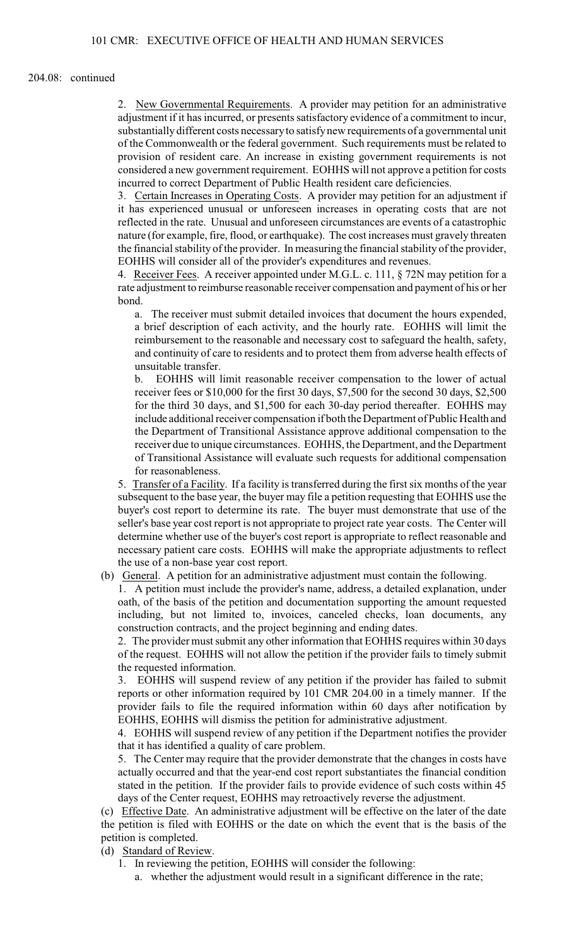### 204.08: continued

2. New Governmental Requirements. A provider may petition for an administrative adjustment if it has incurred, or presents satisfactory evidence of a commitment to incur, substantially different costs necessaryto satisfynew requirements of a governmental unit of the Commonwealth or the federal government. Such requirements must be related to provision of resident care. An increase in existing government requirements is not considered a new government requirement. EOHHS will not approve a petition for costs incurred to correct Department of Public Health resident care deficiencies.

3. Certain Increases in Operating Costs. A provider may petition for an adjustment if it has experienced unusual or unforeseen increases in operating costs that are not reflected in the rate. Unusual and unforeseen circumstances are events of a catastrophic nature (for example, fire, flood, or earthquake). The cost increases must gravely threaten the financial stability of the provider. In measuring the financial stability of the provider, EOHHS will consider all of the provider's expenditures and revenues.

4. Receiver Fees. A receiver appointed under M.G.L. c. 111, § 72N may petition for a rate adjustment to reimburse reasonable receiver compensation and payment of his or her bond.

a. The receiver must submit detailed invoices that document the hours expended, a brief description of each activity, and the hourly rate. EOHHS will limit the reimbursement to the reasonable and necessary cost to safeguard the health, safety, and continuity of care to residents and to protect them from adverse health effects of unsuitable transfer.

b. EOHHS will limit reasonable receiver compensation to the lower of actual receiver fees or \$10,000 for the first 30 days, \$7,500 for the second 30 days, \$2,500 for the third 30 days, and \$1,500 for each 30-day period thereafter. EOHHS may include additional receiver compensation if both the Department of Public Health and the Department of Transitional Assistance approve additional compensation to the receiver due to unique circumstances. EOHHS, the Department, and the Department of Transitional Assistance will evaluate such requests for additional compensation for reasonableness.

5. Transfer of a Facility. If a facility is transferred during the first six months of the year subsequent to the base year, the buyer may file a petition requesting that EOHHS use the buyer's cost report to determine its rate. The buyer must demonstrate that use of the seller's base year cost report is not appropriate to project rate year costs. The Center will determine whether use of the buyer's cost report is appropriate to reflect reasonable and necessary patient care costs. EOHHS will make the appropriate adjustments to reflect the use of a non-base year cost report.

(b) General. A petition for an administrative adjustment must contain the following.

1. A petition must include the provider's name, address, a detailed explanation, under oath, of the basis of the petition and documentation supporting the amount requested including, but not limited to, invoices, canceled checks, loan documents, any construction contracts, and the project beginning and ending dates.

2. The provider must submit any other information that EOHHS requires within 30 days of the request. EOHHS will not allow the petition if the provider fails to timely submit the requested information.

3. EOHHS will suspend review of any petition if the provider has failed to submit reports or other information required by 101 CMR 204.00 in a timely manner. If the provider fails to file the required information within 60 days after notification by EOHHS, EOHHS will dismiss the petition for administrative adjustment.

4. EOHHS will suspend review of any petition if the Department notifies the provider that it has identified a quality of care problem.

5. The Center may require that the provider demonstrate that the changes in costs have actually occurred and that the year-end cost report substantiates the financial condition stated in the petition. If the provider fails to provide evidence of such costs within 45 days of the Center request, EOHHS may retroactively reverse the adjustment.

(c) Effective Date. An administrative adjustment will be effective on the later of the date the petition is filed with EOHHS or the date on which the event that is the basis of the petition is completed.

(d) Standard of Review.

- 1. In reviewing the petition, EOHHS will consider the following:
	- a. whether the adjustment would result in a significant difference in the rate;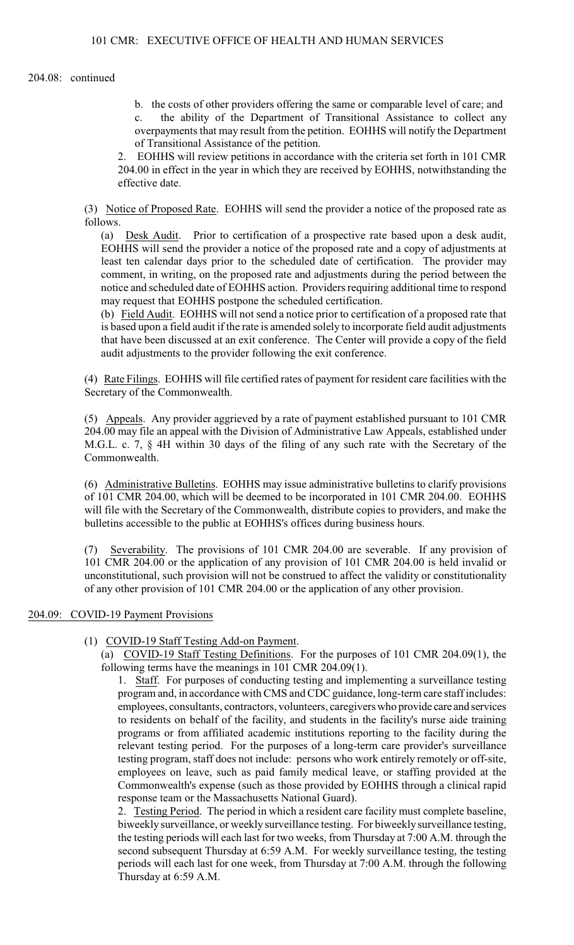b. the costs of other providers offering the same or comparable level of care; and c. the ability of the Department of Transitional Assistance to collect any overpayments that may result from the petition. EOHHS will notify the Department of Transitional Assistance of the petition.

2. EOHHS will review petitions in accordance with the criteria set forth in 101 CMR 204.00 in effect in the year in which they are received by EOHHS, notwithstanding the effective date.

(3) Notice of Proposed Rate. EOHHS will send the provider a notice of the proposed rate as follows.

(a) Desk Audit. Prior to certification of a prospective rate based upon a desk audit, EOHHS will send the provider a notice of the proposed rate and a copy of adjustments at least ten calendar days prior to the scheduled date of certification. The provider may comment, in writing, on the proposed rate and adjustments during the period between the notice and scheduled date of EOHHS action. Providers requiring additional time to respond may request that EOHHS postpone the scheduled certification.

(b) Field Audit. EOHHS will not send a notice prior to certification of a proposed rate that is based upon a field audit if the rate is amended solely to incorporate field audit adjustments that have been discussed at an exit conference. The Center will provide a copy of the field audit adjustments to the provider following the exit conference.

(4) Rate Filings. EOHHS will file certified rates of payment for resident care facilities with the Secretary of the Commonwealth.

(5) Appeals. Any provider aggrieved by a rate of payment established pursuant to 101 CMR 204.00 may file an appeal with the Division of Administrative Law Appeals, established under M.G.L. c. 7, § 4H within 30 days of the filing of any such rate with the Secretary of the Commonwealth.

(6) Administrative Bulletins. EOHHS may issue administrative bulletins to clarify provisions of 101 CMR 204.00, which will be deemed to be incorporated in 101 CMR 204.00. EOHHS will file with the Secretary of the Commonwealth, distribute copies to providers, and make the bulletins accessible to the public at EOHHS's offices during business hours.

(7) Severability. The provisions of 101 CMR 204.00 are severable. If any provision of 101 CMR 204.00 or the application of any provision of 101 CMR 204.00 is held invalid or unconstitutional, such provision will not be construed to affect the validity or constitutionality of any other provision of 101 CMR 204.00 or the application of any other provision.

# 204.09: COVID-19 Payment Provisions

(1) COVID-19 Staff Testing Add-on Payment.

(a) COVID-19 Staff Testing Definitions. For the purposes of 101 CMR 204.09(1), the following terms have the meanings in 101 CMR 204.09(1).

1. Staff. For purposes of conducting testing and implementing a surveillance testing program and, in accordance with CMS and CDC guidance, long-termcare staff includes: employees, consultants, contractors, volunteers, caregivers who provide care and services to residents on behalf of the facility, and students in the facility's nurse aide training programs or from affiliated academic institutions reporting to the facility during the relevant testing period. For the purposes of a long-term care provider's surveillance testing program, staff does not include: persons who work entirely remotely or off-site, employees on leave, such as paid family medical leave, or staffing provided at the Commonwealth's expense (such as those provided by EOHHS through a clinical rapid response team or the Massachusetts National Guard).

2. Testing Period. The period in which a resident care facility must complete baseline, biweekly surveillance, or weekly surveillance testing. For biweekly surveillance testing, the testing periods will each last for two weeks, from Thursday at 7:00 A.M. through the second subsequent Thursday at 6:59 A.M. For weekly surveillance testing, the testing periods will each last for one week, from Thursday at 7:00 A.M. through the following Thursday at 6:59 A.M.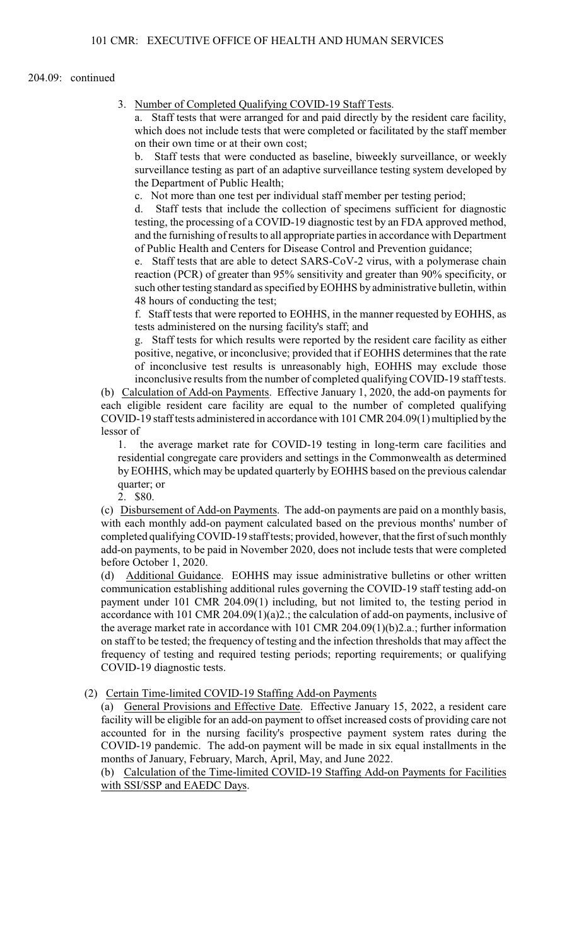## 204.09: continued

3. Number of Completed Qualifying COVID-19 Staff Tests.

a. Staff tests that were arranged for and paid directly by the resident care facility, which does not include tests that were completed or facilitated by the staff member on their own time or at their own cost;

b. Staff tests that were conducted as baseline, biweekly surveillance, or weekly surveillance testing as part of an adaptive surveillance testing system developed by the Department of Public Health;

c. Not more than one test per individual staff member per testing period;

d. Staff tests that include the collection of specimens sufficient for diagnostic testing, the processing of a COVID-19 diagnostic test by an FDA approved method, and the furnishing of results to all appropriate parties in accordance with Department of Public Health and Centers for Disease Control and Prevention guidance;

e. Staff tests that are able to detect SARS-CoV-2 virus, with a polymerase chain reaction (PCR) of greater than 95% sensitivity and greater than 90% specificity, or such other testing standard as specified byEOHHS by administrative bulletin, within 48 hours of conducting the test;

f. Staff tests that were reported to EOHHS, in the manner requested by EOHHS, as tests administered on the nursing facility's staff; and

g. Staff tests for which results were reported by the resident care facility as either positive, negative, or inconclusive; provided that if EOHHS determines that the rate of inconclusive test results is unreasonably high, EOHHS may exclude those inconclusive results from the number of completed qualifying COVID-19 staff tests.

(b) Calculation of Add-on Payments. Effective January 1, 2020, the add-on payments for each eligible resident care facility are equal to the number of completed qualifying COVID-19 staff tests administered in accordancewith 101 CMR 204.09(1) multiplied by the lessor of

1. the average market rate for COVID-19 testing in long-term care facilities and residential congregate care providers and settings in the Commonwealth as determined by EOHHS, which may be updated quarterly by EOHHS based on the previous calendar quarter; or

2. \$80.

(c) Disbursement of Add-on Payments. The add-on payments are paid on a monthly basis, with each monthly add-on payment calculated based on the previous months' number of completed qualifying COVID-19 staff tests; provided, however, that the first of such monthly add-on payments, to be paid in November 2020, does not include tests that were completed before October 1, 2020.

(d) Additional Guidance. EOHHS may issue administrative bulletins or other written communication establishing additional rules governing the COVID-19 staff testing add-on payment under 101 CMR 204.09(1) including, but not limited to, the testing period in accordance with 101 CMR 204.09(1)(a)2.; the calculation of add-on payments, inclusive of the average market rate in accordance with 101 CMR 204.09(1)(b)2.a.; further information on staff to be tested; the frequency of testing and the infection thresholds that may affect the frequency of testing and required testing periods; reporting requirements; or qualifying COVID-19 diagnostic tests.

# (2) Certain Time-limited COVID-19 Staffing Add-on Payments

(a) General Provisions and Effective Date. Effective January 15, 2022, a resident care facility will be eligible for an add-on payment to offset increased costs of providing care not accounted for in the nursing facility's prospective payment system rates during the COVID-19 pandemic. The add-on payment will be made in six equal installments in the months of January, February, March, April, May, and June 2022.

(b) Calculation of the Time-limited COVID-19 Staffing Add-on Payments for Facilities with SSI/SSP and EAEDC Days.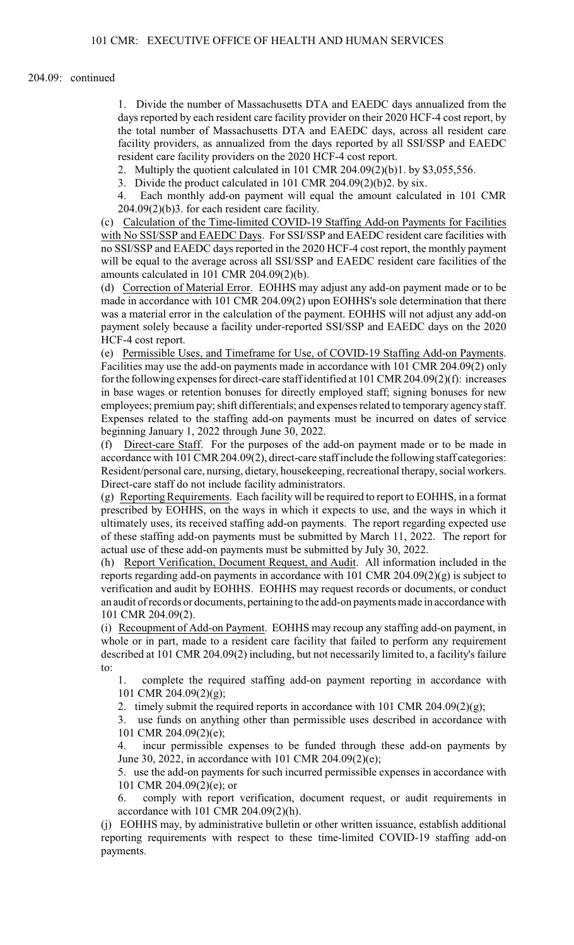### 204.09: continued

1. Divide the number of Massachusetts DTA and EAEDC days annualized from the days reported by each resident care facility provider on their 2020 HCF-4 cost report, by the total number of Massachusetts DTA and EAEDC days, across all resident care facility providers, as annualized from the days reported by all SSI/SSP and EAEDC resident care facility providers on the 2020 HCF-4 cost report.

2. Multiply the quotient calculated in 101 CMR 204.09(2)(b)1. by \$3,055,556.

3. Divide the product calculated in 101 CMR 204.09(2)(b)2. by six.

4. Each monthly add-on payment will equal the amount calculated in 101 CMR 204.09(2)(b)3. for each resident care facility.

(c) Calculation of the Time-limited COVID-19 Staffing Add-on Payments for Facilities with No SSI/SSP and EAEDC Days. For SSI/SSP and EAEDC resident care facilities with no SSI/SSP and EAEDC days reported in the 2020 HCF-4 cost report, the monthly payment will be equal to the average across all SSI/SSP and EAEDC resident care facilities of the amounts calculated in 101 CMR 204.09(2)(b).

(d) Correction of Material Error. EOHHS may adjust any add-on payment made or to be made in accordance with 101 CMR 204.09(2) upon EOHHS's sole determination that there was a material error in the calculation of the payment. EOHHS will not adjust any add-on payment solely because a facility under-reported SSI/SSP and EAEDC days on the 2020 HCF-4 cost report.

(e) Permissible Uses, and Timeframe for Use, of COVID-19 Staffing Add-on Payments. Facilities may use the add-on payments made in accordance with 101 CMR 204.09(2) only for the following expenses for direct-care staff identified at 101 CMR 204.09(2)(f): increases in base wages or retention bonuses for directly employed staff; signing bonuses for new employees; premium pay; shift differentials; and expenses related to temporary agency staff. Expenses related to the staffing add-on payments must be incurred on dates of service beginning January 1, 2022 through June 30, 2022.

(f) Direct-care Staff. For the purposes of the add-on payment made or to be made in accordance with 101CMR 204.09(2), direct-care staff include the following staff categories: Resident/personal care, nursing, dietary, housekeeping, recreational therapy, social workers. Direct-care staff do not include facility administrators.

(g) Reporting Requirements. Each facility will be required to report to EOHHS, in a format prescribed by EOHHS, on the ways in which it expects to use, and the ways in which it ultimately uses, its received staffing add-on payments. The report regarding expected use of these staffing add-on payments must be submitted by March 11, 2022. The report for actual use of these add-on payments must be submitted by July 30, 2022.

(h) Report Verification, Document Request, and Audit. All information included in the reports regarding add-on payments in accordance with 101 CMR 204.09(2)(g) is subject to verification and audit by EOHHS. EOHHS may request records or documents, or conduct an audit of records or documents, pertaining to the add-on payments made in accordance with 101 CMR 204.09(2).

(i) Recoupment of Add-on Payment. EOHHS may recoup any staffing add-on payment, in whole or in part, made to a resident care facility that failed to perform any requirement described at 101 CMR 204.09(2) including, but not necessarily limited to, a facility's failure to:

1. complete the required staffing add-on payment reporting in accordance with 101 CMR 204.09(2)(g);

2. timely submit the required reports in accordance with 101 CMR 204.09(2)(g);

3. use funds on anything other than permissible uses described in accordance with 101 CMR 204.09(2)(e);

4. incur permissible expenses to be funded through these add-on payments by June 30, 2022, in accordance with 101 CMR 204.09(2)(e);

5. use the add-on payments for such incurred permissible expenses in accordance with 101 CMR 204.09(2)(e); or

6. comply with report verification, document request, or audit requirements in accordance with 101 CMR 204.09(2)(h).

(j) EOHHS may, by administrative bulletin or other written issuance, establish additional reporting requirements with respect to these time-limited COVID-19 staffing add-on payments.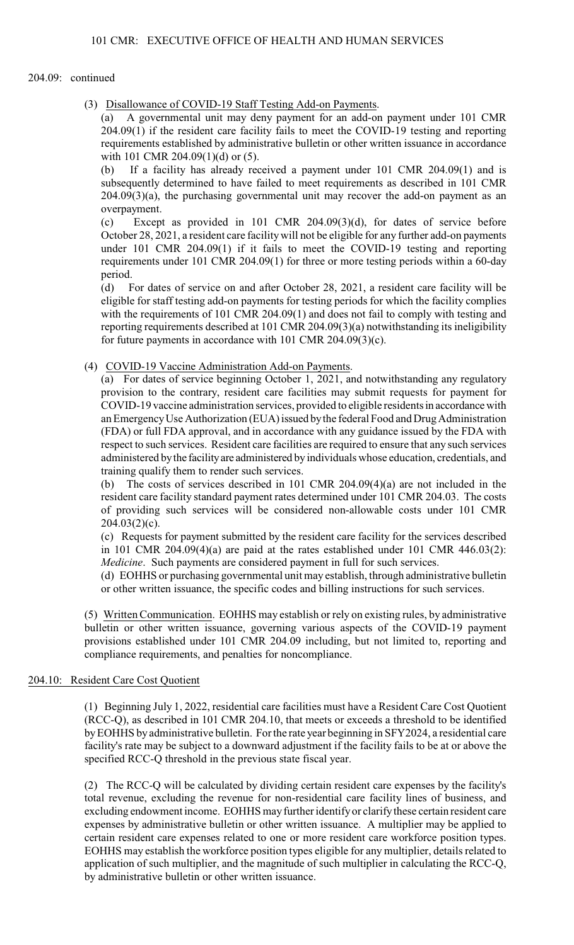## 204.09: continued

(3) Disallowance of COVID-19 Staff Testing Add-on Payments.

(a) A governmental unit may deny payment for an add-on payment under 101 CMR 204.09(1) if the resident care facility fails to meet the COVID-19 testing and reporting requirements established by administrative bulletin or other written issuance in accordance with 101 CMR 204.09(1)(d) or (5).

(b) If a facility has already received a payment under 101 CMR 204.09(1) and is subsequently determined to have failed to meet requirements as described in 101 CMR 204.09(3)(a), the purchasing governmental unit may recover the add-on payment as an overpayment.

(c) Except as provided in 101 CMR 204.09(3)(d), for dates of service before October 28, 2021, a resident care facilitywill not be eligible for any further add-on payments under 101 CMR 204.09(1) if it fails to meet the COVID-19 testing and reporting requirements under 101 CMR 204.09(1) for three or more testing periods within a 60-day period.<br>(d) F

For dates of service on and after October 28, 2021, a resident care facility will be eligible for staff testing add-on payments for testing periods for which the facility complies with the requirements of 101 CMR 204.09(1) and does not fail to comply with testing and reporting requirements described at 101 CMR 204.09(3)(a) notwithstanding its ineligibility for future payments in accordance with 101 CMR 204.09(3)(c).

(4) COVID-19 Vaccine Administration Add-on Payments.

(a) For dates of service beginning October 1, 2021, and notwithstanding any regulatory provision to the contrary, resident care facilities may submit requests for payment for COVID-19 vaccine administration services, provided to eligible residents in accordance with an Emergency Use Authorization (EUA) issued by the federal Food and Drug Administration (FDA) or full FDA approval, and in accordance with any guidance issued by the FDA with respect to such services. Resident care facilities are required to ensure that any such services administered by the facility are administered by individuals whose education, credentials, and training qualify them to render such services.

(b) The costs of services described in 101 CMR 204.09(4)(a) are not included in the resident care facility standard payment rates determined under 101 CMR 204.03. The costs of providing such services will be considered non-allowable costs under 101 CMR 204.03(2)(c).

(c) Requests for payment submitted by the resident care facility for the services described in 101 CMR 204.09(4)(a) are paid at the rates established under 101 CMR 446.03(2): *Medicine*. Such payments are considered payment in full for such services.

(d) EOHHS or purchasing governmental unit may establish, through administrative bulletin or other written issuance, the specific codes and billing instructions for such services.

(5) Written Communication. EOHHS may establish or rely on existing rules, by administrative bulletin or other written issuance, governing various aspects of the COVID-19 payment provisions established under 101 CMR 204.09 including, but not limited to, reporting and compliance requirements, and penalties for noncompliance.

# 204.10: Resident Care Cost Quotient

(1) Beginning July 1, 2022, residential care facilities must have a Resident Care Cost Quotient (RCC-Q), as described in 101 CMR 204.10, that meets or exceeds a threshold to be identified by EOHHS by administrative bulletin. For the rate year beginning in SFY2024, a residential care facility's rate may be subject to a downward adjustment if the facility fails to be at or above the specified RCC-Q threshold in the previous state fiscal year.

(2) The RCC-Q will be calculated by dividing certain resident care expenses by the facility's total revenue, excluding the revenue for non-residential care facility lines of business, and excluding endowment income. EOHHS may further identify or clarify these certain resident care expenses by administrative bulletin or other written issuance. A multiplier may be applied to certain resident care expenses related to one or more resident care workforce position types. EOHHS may establish the workforce position types eligible for any multiplier, details related to application of such multiplier, and the magnitude of such multiplier in calculating the RCC-Q, by administrative bulletin or other written issuance.